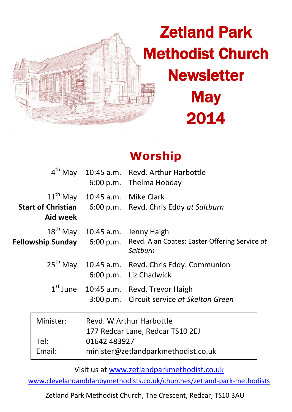

# Zetland Park Methodist Church **Newsletter** May 2014

## **Worship**

|                |                                                                                                                     | 4 <sup>th</sup> May 10:45 a.m. Revd. Arthur Harbottle<br>6:00 p.m. Thelma Hobday                                                     |
|----------------|---------------------------------------------------------------------------------------------------------------------|--------------------------------------------------------------------------------------------------------------------------------------|
| Aid week       | $11th$ May $10:45$ a.m. Mike Clark                                                                                  | <b>Start of Christian</b> 6:00 p.m. Revd. Chris Eddy at Saltburn                                                                     |
|                |                                                                                                                     | 18 <sup>th</sup> May 10:45 a.m. Jenny Haigh<br>Fellowship Sunday 6:00 p.m. Revd. Alan Coates: Easter Offering Service at<br>Saltburn |
|                |                                                                                                                     | 25 <sup>th</sup> May 10:45 a.m. Revd. Chris Eddy: Communion<br>6:00 p.m. Liz Chadwick                                                |
|                |                                                                                                                     | $1st$ June $10:45$ a.m. Revd. Trevor Haigh<br>3:00 p.m. Circuit service at Skelton Green                                             |
| Minister:      | Revd. W Arthur Harbottle<br>177 Redcar Lane, Redcar TS10 2EJ<br>01642 483927<br>minister@zetlandparkmethodist.co.uk |                                                                                                                                      |
| Tel:<br>Email: |                                                                                                                     |                                                                                                                                      |

Visit us at [www.zetlandparkmethodist.co.uk](file:///X:/Zetland%20Park/Newsletters/www.zetlandparkmethodist.co.uk)

[www.clevelandanddanbymethodists.co.uk/churches/zetland-park-methodists](http://www.clevelandanddanbymethodists.co.uk/churches/zetland-park-methodists) 

Zetland Park Methodist Church, The Crescent, Redcar, TS10 3AU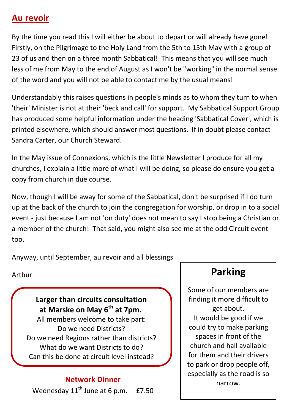#### **Au revoir**

By the time you read this I will either be about to depart or will already have gone! Firstly, on the Pilgrimage to the Holy Land from the 5th to 15th May with a group of 23 of us and then on a three month Sabbatical! This means that you will see much less of me from May to the end of August as I won't be "working" in the normal sense of the word and you will not be able to contact me by the usual means!

Understandably this raises questions in people's minds as to whom they turn to when 'their' Minister is not at their 'beck and call' for support. My Sabbatical Support Group has produced some helpful information under the heading 'Sabbatical Cover', which is printed elsewhere, which should answer most questions. If in doubt please contact Sandra Carter, our Church Steward.

In the May issue of Connexions, which is the little Newsletter I produce for all my churches, I explain a little more of what I will be doing, so please do ensure you get a copy from church in due course.

Now, though I will be away for some of the Sabbatical, don't be surprised if I do turn up at the back of the church to join the congregation for worship, or drop in to a social event - just because I am not 'on duty' does not mean to say I stop being a Christian or a member of the church! That said, you might also see me at the odd Circuit event too.

Anyway, until September, au revoir and all blessings

Arthur

**Larger than circuits consultation at Marske on May 6th at 7pm.** All members welcome to take part: Do we need Districts? Do we need Regions rather than districts? What do we want Districts to do? Can this be done at circuit level instead?

Wednesday  $11<sup>th</sup>$  June at 6 p.m.

### **Parking**

Some of our members are finding it more difficult to get about. It would be good if we could try to make parking spaces in front of the church and hall available for them and their drivers to park or drop people off, especially as the road is so **Network Dinner**<br>v 11<sup>th</sup> lune at 6 n m 67.50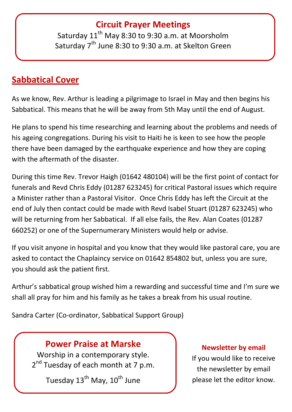#### **Circuit Prayer Meetings**

Saturday  $11<sup>th</sup>$  May 8:30 to 9:30 a.m. at Moorsholm Saturday 7<sup>th</sup> June 8:30 to 9:30 a.m. at Skelton Green

#### **Sabbatical Cover**

As we know, Rev. Arthur is leading a pilgrimage to Israel in May and then begins his Sabbatical. This means that he will be away from 5th May until the end of August.

He plans to spend his time researching and learning about the problems and needs of his ageing congregations. During his visit to Haiti he is keen to see how the people there have been damaged by the earthquake experience and how they are coping with the aftermath of the disaster.

During this time Rev. Trevor Haigh (01642 480104) will be the first point of contact for funerals and Revd Chris Eddy (01287 623245) for critical Pastoral issues which require a Minister rather than a Pastoral Visitor. Once Chris Eddy has left the Circuit at the end of July then contact could be made with Revd Isabel Stuart (01287 623245) who will be returning from her Sabbatical. If all else fails, the Rev. Alan Coates (01287 660252) or one of the Supernumerary Ministers would help or advise.

If you visit anyone in hospital and you know that they would like pastoral care, you are asked to contact the Chaplaincy service on 01642 854802 but, unless you are sure, you should ask the patient first.

Arthur's sabbatical group wished him a rewarding and successful time and I'm sure we shall all pray for him and his family as he takes a break from his usual routine.

Sandra Carter (Co-ordinator, Sabbatical Support Group)

#### **Power Praise at Marske**

Worship in a contemporary style. 2<sup>nd</sup> Tuesday of each month at 7 p.m.

Tuesday  $13^{th}$  May,  $10^{th}$  June

#### **Newsletter by email**

If you would like to receive the newsletter by email please let the editor know.